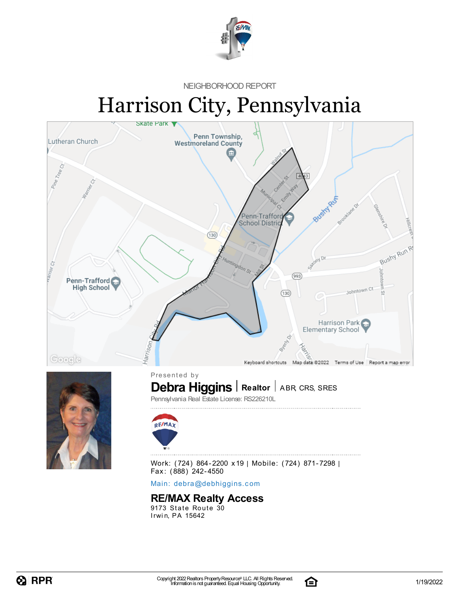

NEIGHBORHOOD REPORT

# Harrison City, Pennsylvania





**Debra Higgins** | Realtor | ABR, CRS, SRES

Pennsylvania Real Estate License: RS226210L



Work: (724) 864-2200 x19 | Mobile: (724) 871-7298 | Fax: (888) 242-4550

Main: debra[@](mailto:debra@debhiggins.com)debhiggins.com

### **RE/MAX Realty Access**

 $9173$  State Route  $30$ Irwin, PA 15642

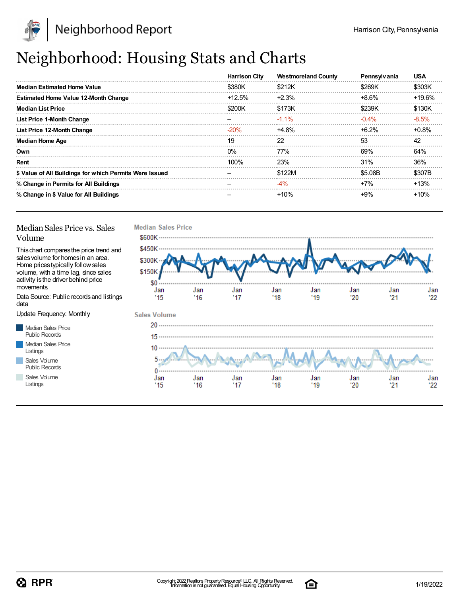

## Neighborhood: Housing Stats and Charts

|                                                         | <b>Harrison City</b> | <b>Westmoreland County</b> | Pennsylvania | <b>USA</b> |
|---------------------------------------------------------|----------------------|----------------------------|--------------|------------|
| <b>Median Estimated Home Value</b>                      | \$380K               | \$212K                     | \$269K       | \$303K     |
| <b>Estimated Home Value 12-Month Change</b>             | $+12.5\%$            | $+2.3%$                    | $+8.6%$      | +19.6%     |
| <b>Median List Price</b>                                | \$200K               | \$173K                     | \$239K       | \$130K     |
| <b>List Price 1-Month Change</b>                        |                      | $-1.1\%$                   | $-0.4\%$     | $-8.5%$    |
| List Price 12-Month Change                              | $-20%$               | +4.8%                      | $+6.2\%$     | $+0.8%$    |
| <b>Median Home Age</b>                                  | 19                   | 22                         | 53           | 42         |
| Own                                                     | $0\%$                | 77%                        | 69%          | 64%        |
| Rent                                                    | $100\%$              | <b>23%</b>                 | 31%          | 36%        |
| \$ Value of All Buildings for which Permits Were Issued |                      | \$122M                     | \$5.08B      | \$307B     |
| % Change in Permits for All Buildings                   |                      | $-4%$                      | $+7%$        | $+13%$     |
| % Change in \$ Value for All Buildings                  |                      | $+10%$                     | +9%          | $+10%$     |

### Median Sales Price vs. Sales Volume

Thischart comparesthe price trend and salesvolume for homesin an area. Home pricestypically followsales volume, with a time lag, since sales activity is the driver behind price movements.

Data Source: Public recordsand listings data

Update Frequency: Monthly

Median Sales Price Public Records Median Sales Price Listings Sales Volume Public Records

Sales Volume





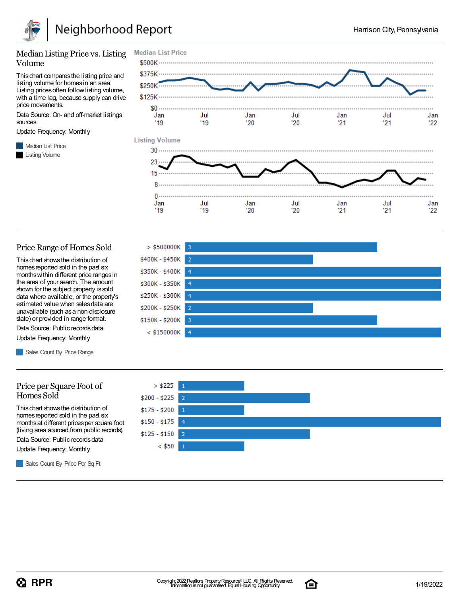

#### Median Listing Price vs. Listing Volume

Thischart comparesthe listing price and listing volume for homesin an area. Listing prices often follow listing volume, with a time lag, because supply can drive price movements.

Data Source: On- and off-market listings sources

Update Frequency: Monthly

**Median List Price** Listing Volume



#### Price Range of Homes Sold

Thischart showsthe distribution of homes reported sold in the past six monthswithin different price rangesin the area of your search. The amount shown for the subject property issold data where available, or the property's estimated value when salesdata are unavailable (such asa non-disclosure state) or provided in range format.

Data Source: Public records data Update Frequency: Monthly

Sales Count By Price Range

#### Price per Square Foot of Homes Sold

Thischart showsthe distribution of homes reported sold in the past six monthsat different pricesper square foot (living area sourced from public records).

Data Source: Public records data

Update Frequency: Monthly

Sales Count By Price Per Sq Ft





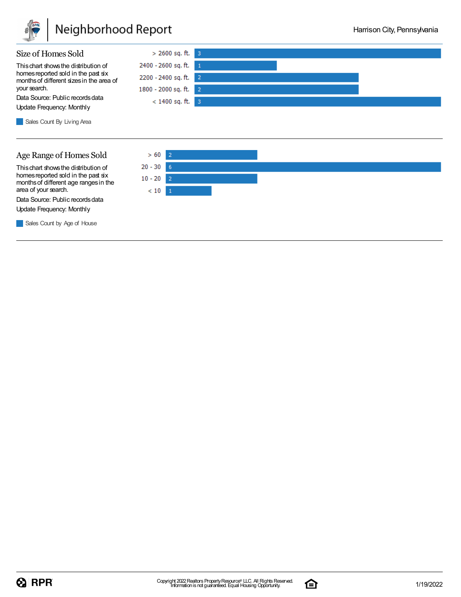

## Neighborhood Report



Sales Count By Living Area

### Age Range of Homes Sold

Thischart showsthe distribution of homes reported sold in the past six monthsof different age rangesin the area of your search.

Data Source: Public records data Update Frequency: Monthly

Sales Count by Age of House



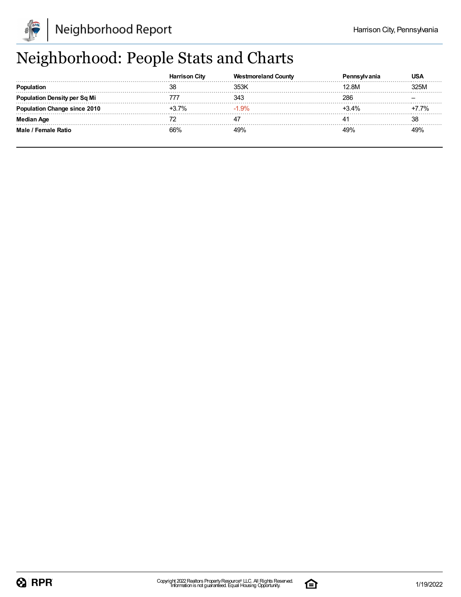

## Neighborhood: People Stats and Charts

|                                 | <b>Harrison City</b> | <b>Westmoreland County</b> | anıa    | USA               |
|---------------------------------|----------------------|----------------------------|---------|-------------------|
| Ponulation                      | 38                   |                            | 12.8M   | ` <sup></sup> ን5M |
| ulation Density per Sq Mi       |                      | ว⊿ว                        | 286     |                   |
| <b>1ation Change since 2010</b> | +3.7%                | 1.9%                       | $+3.4%$ | ' 7%              |
| <b>Median Age</b>               |                      |                            |         | 38                |
| Male / Female Ratio             | 66%                  |                            | 19%     |                   |

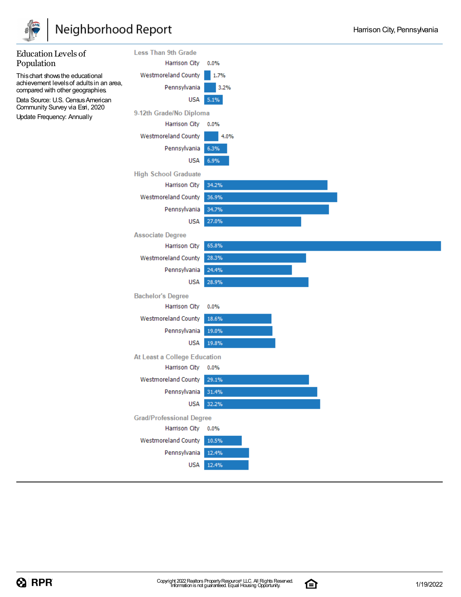

## Neighborhood Report



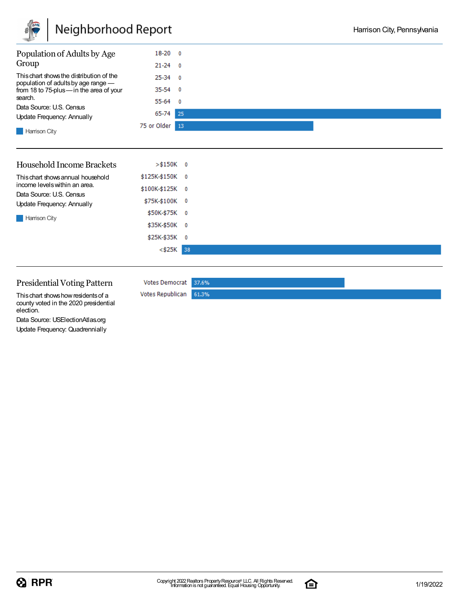

| Population of Adults by Age                                                     | $18-20$ 0       |    |
|---------------------------------------------------------------------------------|-----------------|----|
| Group                                                                           | $21 - 24 = 0$   |    |
| This chart shows the distribution of the<br>population of adults by age range - | $25-34$ 0       |    |
| from 18 to 75-plus-in the area of your                                          | $35-54$ 0       |    |
| search.                                                                         | $55-64$ 0       |    |
| Data Source: U.S. Census<br>Update Frequency: Annually                          | 65-74<br>25     |    |
| Harrison City                                                                   | 75 or Older     | 13 |
| Household Income Brackets                                                       | $> $150K$ 0     |    |
| This chart shows annual household<br>income levels within an area.              | \$125K-\$150K 0 |    |
| Data Source: U.S. Census                                                        | \$100K-\$125K 0 |    |
| Update Frequency: Annually                                                      | \$75K-\$100K 0  |    |
| <b>Harrison City</b>                                                            | \$50K-\$75K 0   |    |
|                                                                                 | \$35K-\$50K 0   |    |
|                                                                                 |                 |    |
|                                                                                 | \$25K-\$35K 0   |    |

#### Presidential Voting Pattern

This chart shows how residents of a county voted in the 2020 presidential election.

Data Source: USElectionAtlas.org Update Frequency: Quadrennially

Votes Democrat 37.6% Votes Republican  $61.3%$ 

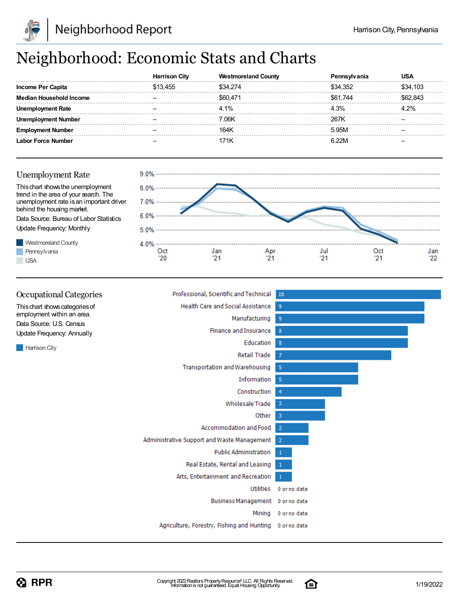

## Neighborhood: Economic Stats and Charts

|                                | Citv  | County   |          |          |
|--------------------------------|-------|----------|----------|----------|
| Income Per Capita              | 3.455 | \$34,274 | \$34.352 | \$34,103 |
| <b>Median Household Income</b> |       | \$60.471 | S61.744  | .843     |
| Rate                           |       | 4.1%     | 4.3%     | 2%       |
| umber                          |       | 7.06K    | 267K     |          |
| Number                         |       | 164K     | 5.95M    |          |
| or Force Number                |       |          |          |          |



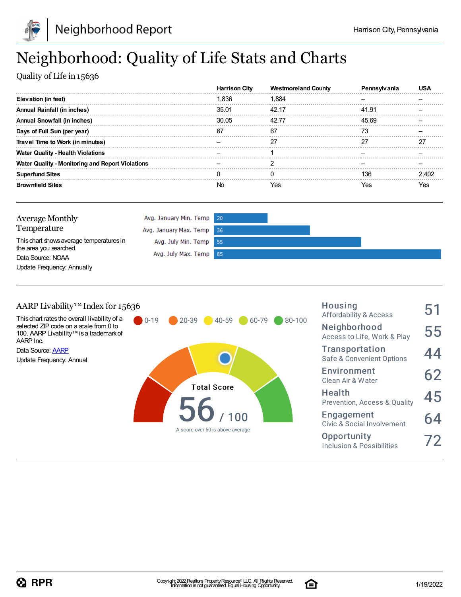

## Neighborhood: Quality of Life Stats and Charts

Quality of Life in 15636

|                                                  | <b>Harrison City</b> | <b>Westmoreland County</b> | ren   |     |
|--------------------------------------------------|----------------------|----------------------------|-------|-----|
| Elevation (in feet)                              | 1.836                | 1.884                      |       |     |
| Annual Rainfall (in inches)                      | 35.01                | 42.17                      | 41.91 |     |
| Annual Snowfall (in inches)                      | 30.05                | 42.77                      | 45.69 |     |
| Days of Full Sun (per year)                      | 67                   | 67                         |       |     |
| Travel Time to Work (in minutes)                 |                      |                            |       |     |
| <b>Water Quality - Health Violations</b>         |                      |                            |       |     |
| Water Quality - Monitoring and Report Violations |                      |                            |       |     |
| <b>Superfund Sites</b>                           |                      |                            | 136   |     |
| <b>Brownfield Sites</b>                          | No                   | Yes                        | res   | es? |